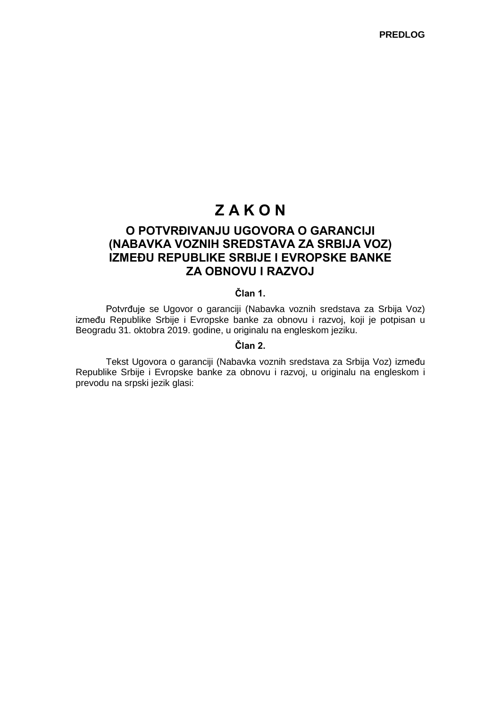# **Z A K O N**

# **O POTVRĐIVANJU UGOVORA O GARANCIJI (NABAVKA VOZNIH SREDSTAVA ZA SRBIJA VOZ) IZMEĐU REPUBLIKE SRBIJE I EVROPSKE BANKE ZA OBNOVU I RAZVOJ**

## **Član 1.**

Potvrđuje se Ugovor o garanciji (Nabavka voznih sredstava za Srbija Voz) između Republike Srbije i Evropske banke za obnovu i razvoj, koji je potpisan u Beogradu 31. oktobra 2019. godine, u originalu na engleskom jeziku.

### **Član 2.**

Tekst Ugovora o garanciji (Nabavka voznih sredstava za Srbija Voz) između Republike Srbije i Evropske banke za obnovu i razvoj, u originalu na engleskom i prevodu na srpski jezik glasi: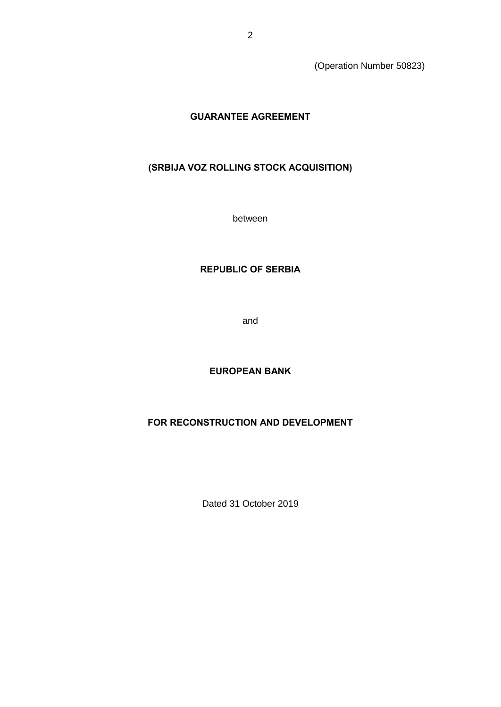(Operation Number 50823)

# **GUARANTEE AGREEMENT**

# **(SRBIJA VOZ ROLLING STOCK ACQUISITION)**

between

# **REPUBLIC OF SERBIA**

and

# **EUROPEAN BANK**

## **FOR RECONSTRUCTION AND DEVELOPMENT**

Dated 31 October 2019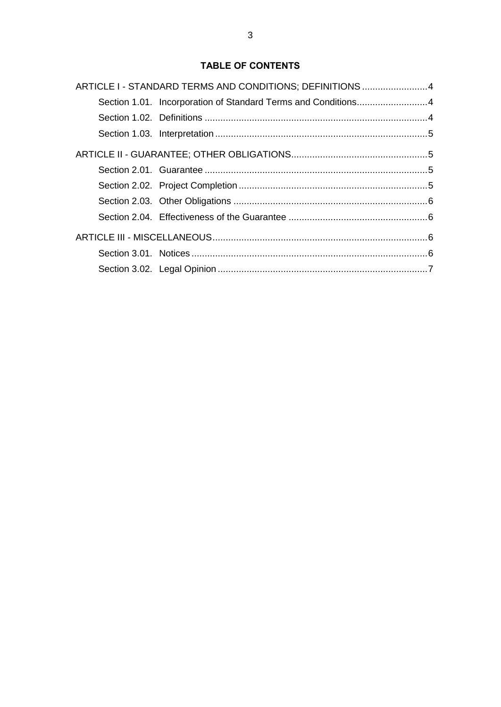# **TABLE OF CONTENTS**

| ARTICLE I - STANDARD TERMS AND CONDITIONS; DEFINITIONS 4      |  |
|---------------------------------------------------------------|--|
| Section 1.01. Incorporation of Standard Terms and Conditions4 |  |
|                                                               |  |
|                                                               |  |
|                                                               |  |
|                                                               |  |
|                                                               |  |
|                                                               |  |
|                                                               |  |
|                                                               |  |
|                                                               |  |
|                                                               |  |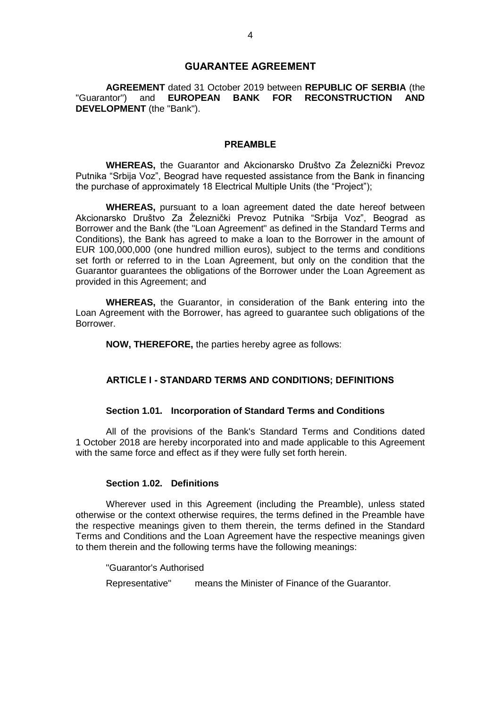### **GUARANTEE AGREEMENT**

**AGREEMENT** dated 31 October 2019 between **REPUBLIC OF SERBIA** (the "Guarantor") and **EUROPEAN BANK FOR RECONSTRUCTION AND DEVELOPMENT** (the "Bank").

### **PREAMBLE**

**WHEREAS,** the Guarantor and Akcionarsko Društvo Za Železnički Prevoz Putnika "Srbija Voz", Beograd have requested assistance from the Bank in financing the purchase of approximately 18 Electrical Multiple Units (the "Project");

**WHEREAS,** pursuant to a loan agreement dated the date hereof between Akcionarsko Društvo Za Železnički Prevoz Putnika "Srbija Voz", Beograd as Borrower and the Bank (the "Loan Agreement" as defined in the Standard Terms and Conditions), the Bank has agreed to make a loan to the Borrower in the amount of EUR 100,000,000 (one hundred million euros), subject to the terms and conditions set forth or referred to in the Loan Agreement, but only on the condition that the Guarantor guarantees the obligations of the Borrower under the Loan Agreement as provided in this Agreement; and

**WHEREAS,** the Guarantor, in consideration of the Bank entering into the Loan Agreement with the Borrower, has agreed to guarantee such obligations of the Borrower.

**NOW, THEREFORE,** the parties hereby agree as follows:

#### **ARTICLE I - STANDARD TERMS AND CONDITIONS; DEFINITIONS**

#### **Section 1.01. Incorporation of Standard Terms and Conditions**

All of the provisions of the Bank's Standard Terms and Conditions dated 1 October 2018 are hereby incorporated into and made applicable to this Agreement with the same force and effect as if they were fully set forth herein.

### **Section 1.02. Definitions**

Wherever used in this Agreement (including the Preamble), unless stated otherwise or the context otherwise requires, the terms defined in the Preamble have the respective meanings given to them therein, the terms defined in the Standard Terms and Conditions and the Loan Agreement have the respective meanings given to them therein and the following terms have the following meanings:

"Guarantor's Authorised

Representative" means the Minister of Finance of the Guarantor.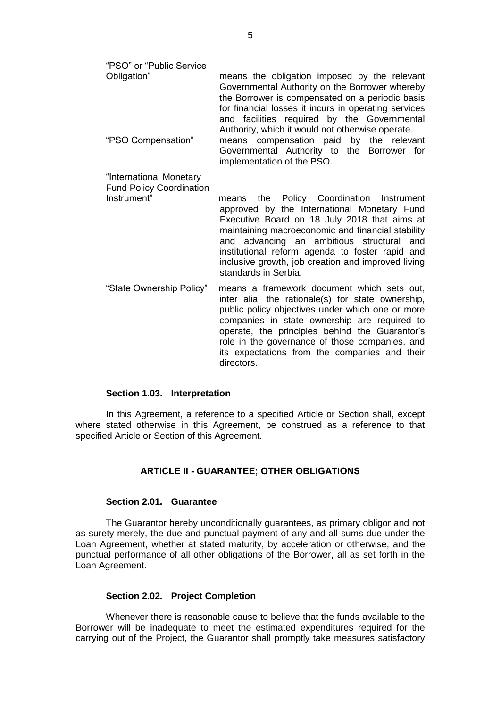| "PSO" or "Public Service<br>Obligation"<br>"PSO Compensation"             | means the obligation imposed by the relevant<br>Governmental Authority on the Borrower whereby<br>the Borrower is compensated on a periodic basis<br>for financial losses it incurs in operating services<br>and facilities required by the Governmental<br>Authority, which it would not otherwise operate.<br>means compensation paid by the relevant<br>Governmental Authority to the Borrower for<br>implementation of the PSO. |
|---------------------------------------------------------------------------|-------------------------------------------------------------------------------------------------------------------------------------------------------------------------------------------------------------------------------------------------------------------------------------------------------------------------------------------------------------------------------------------------------------------------------------|
| "International Monetary<br><b>Fund Policy Coordination</b><br>Instrument" | the Policy Coordination Instrument<br>means<br>approved by the International Monetary Fund<br>Executive Board on 18 July 2018 that aims at<br>maintaining macroeconomic and financial stability<br>and advancing an ambitious structural<br>and<br>institutional reform agenda to foster rapid and<br>inclusive growth, job creation and improved living<br>standards in Serbia.                                                    |
| "State Ownership Policy"                                                  | means a framework document which sets out,<br>inter alia, the rationale(s) for state ownership,<br>public policy objectives under which one or more<br>companies in state ownership are required to<br>operate, the principles behind the Guarantor's<br>role in the governance of those companies, and<br>its expectations from the companies and their<br>directors.                                                              |

#### **Section 1.03. Interpretation**

In this Agreement, a reference to a specified Article or Section shall, except where stated otherwise in this Agreement, be construed as a reference to that specified Article or Section of this Agreement.

### **ARTICLE II - GUARANTEE; OTHER OBLIGATIONS**

#### **Section 2.01. Guarantee**

The Guarantor hereby unconditionally guarantees, as primary obligor and not as surety merely, the due and punctual payment of any and all sums due under the Loan Agreement, whether at stated maturity, by acceleration or otherwise, and the punctual performance of all other obligations of the Borrower, all as set forth in the Loan Agreement.

#### **Section 2.02. Project Completion**

Whenever there is reasonable cause to believe that the funds available to the Borrower will be inadequate to meet the estimated expenditures required for the carrying out of the Project, the Guarantor shall promptly take measures satisfactory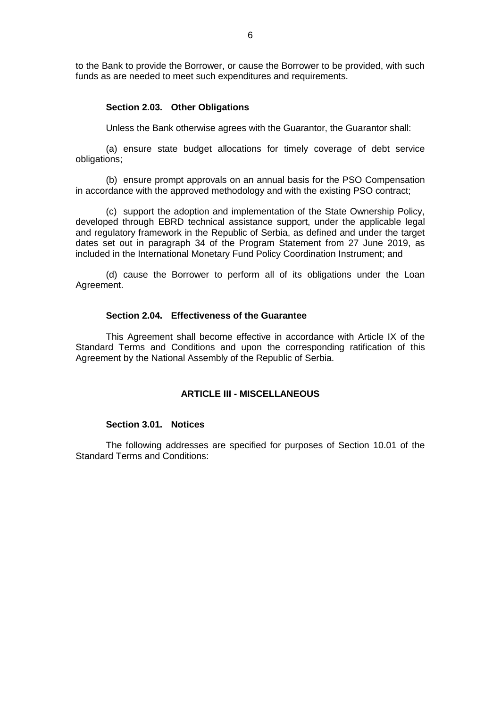to the Bank to provide the Borrower, or cause the Borrower to be provided, with such funds as are needed to meet such expenditures and requirements.

### **Section 2.03. Other Obligations**

Unless the Bank otherwise agrees with the Guarantor, the Guarantor shall:

(a) ensure state budget allocations for timely coverage of debt service obligations;

(b) ensure prompt approvals on an annual basis for the PSO Compensation in accordance with the approved methodology and with the existing PSO contract;

(c) support the adoption and implementation of the State Ownership Policy, developed through EBRD technical assistance support, under the applicable legal and regulatory framework in the Republic of Serbia, as defined and under the target dates set out in paragraph 34 of the Program Statement from 27 June 2019, as included in the International Monetary Fund Policy Coordination Instrument; and

(d) cause the Borrower to perform all of its obligations under the Loan Agreement.

### **Section 2.04. Effectiveness of the Guarantee**

This Agreement shall become effective in accordance with Article IX of the Standard Terms and Conditions and upon the corresponding ratification of this Agreement by the National Assembly of the Republic of Serbia.

### **ARTICLE III - MISCELLANEOUS**

### **Section 3.01. Notices**

The following addresses are specified for purposes of Section 10.01 of the Standard Terms and Conditions: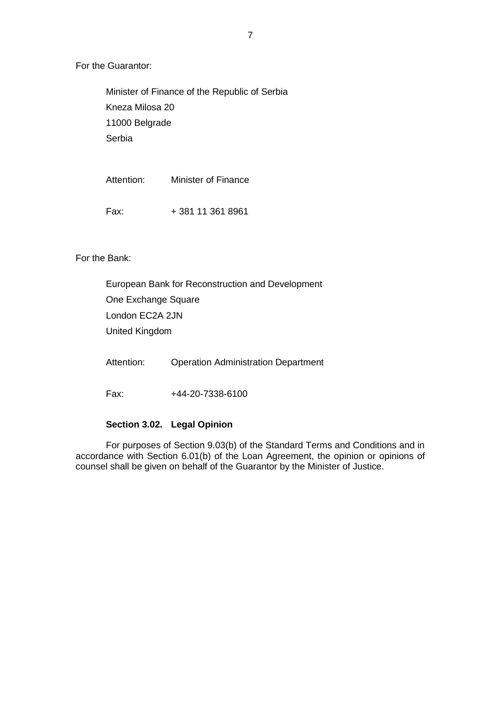For the Guarantor:

Minister of Finance of the Republic of Serbia Kneza Milosa 20 11000 Belgrade **Serbia** 

Attention: Minister of Finance Fax: + 381 11 361 8961

For the Bank:

European Bank for Reconstruction and Development One Exchange Square London EC2A 2JN United Kingdom

Attention: Operation Administration Department

Fax: +44-20-7338-6100

### **Section 3.02. Legal Opinion**

For purposes of Section 9.03(b) of the Standard Terms and Conditions and in accordance with Section 6.01(b) of the Loan Agreement, the opinion or opinions of counsel shall be given on behalf of the Guarantor by the Minister of Justice.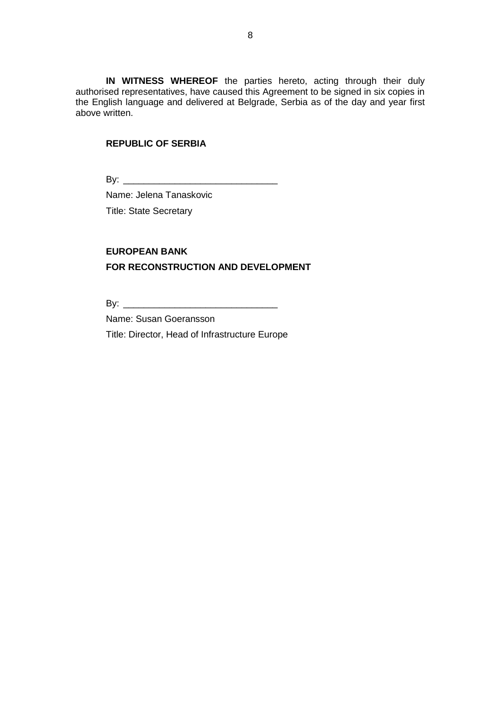**IN WITNESS WHEREOF** the parties hereto, acting through their duly authorised representatives, have caused this Agreement to be signed in six copies in the English language and delivered at Belgrade, Serbia as of the day and year first above written.

### **REPUBLIC OF SERBIA**

By: \_\_\_\_\_\_\_\_\_\_\_\_\_\_\_\_\_\_\_\_\_\_\_\_\_\_\_\_\_\_

Name: Jelena Tanaskovic Title: State Secretary

# **EUROPEAN BANK FOR RECONSTRUCTION AND DEVELOPMENT**

By: \_\_\_\_\_\_\_\_\_\_\_\_\_\_\_\_\_\_\_\_\_\_\_\_\_\_\_\_\_\_

Name: Susan Goeransson

Title: Director, Head of Infrastructure Europe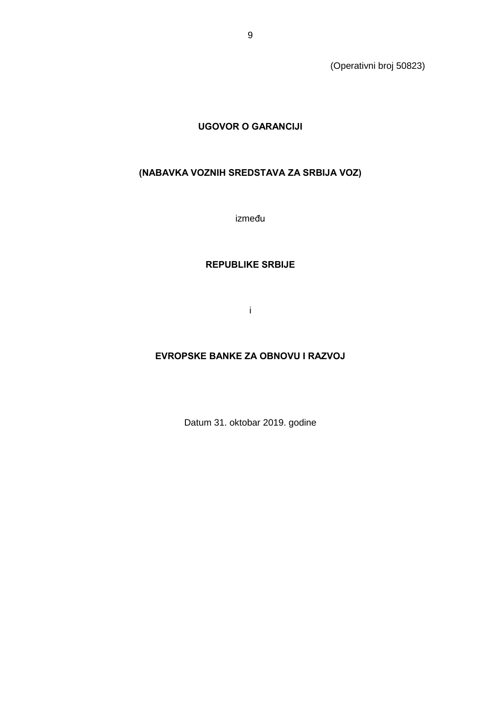(Operativni broj 50823)

# **UGOVOR O GARANCIJI**

# **(NABAVKA VOZNIH SREDSTAVA ZA SRBIJA VOZ)**

između

### **REPUBLIKE SRBIJE**

i

# **EVROPSKE BANKE ZA OBNOVU I RAZVOJ**

Datum 31. oktobar 2019. godine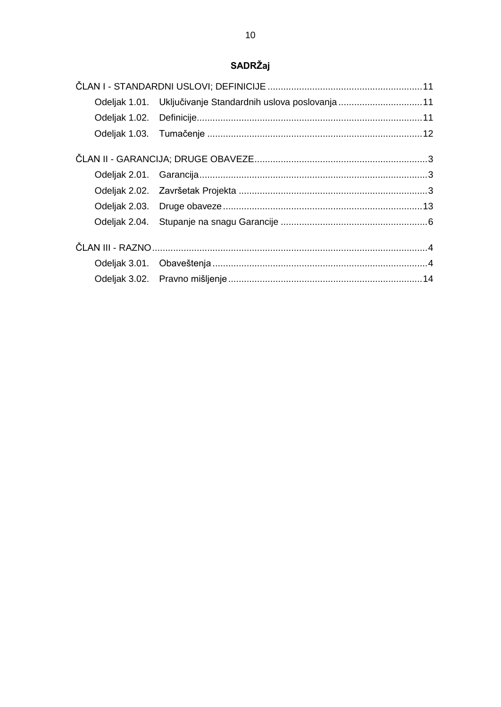# SADRŽaj

| Odeljak 1.01. Uključivanje Standardnih uslova poslovanja 11 |  |
|-------------------------------------------------------------|--|
|                                                             |  |
|                                                             |  |
|                                                             |  |
|                                                             |  |
|                                                             |  |
|                                                             |  |
|                                                             |  |
|                                                             |  |
|                                                             |  |
|                                                             |  |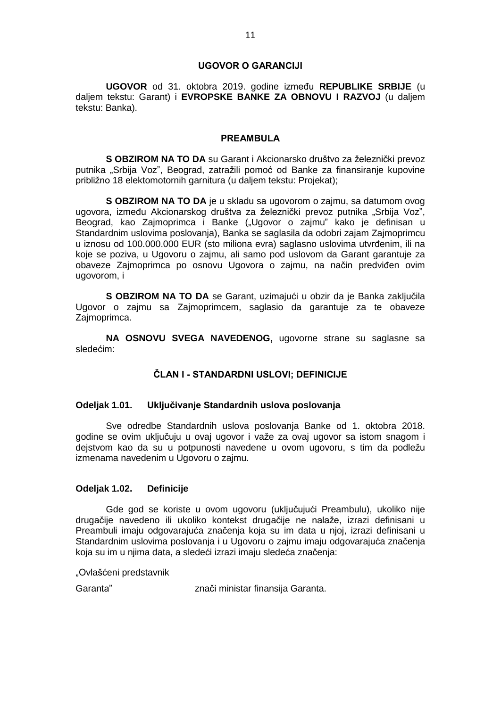#### **UGOVOR O GARANCIJI**

**UGOVOR** od 31. oktobra 2019. godine između **REPUBLIKE SRBIJE** (u daljem tekstu: Garant) i **EVROPSKE BANKE ZA OBNOVU I RAZVOJ** (u daljem tekstu: Banka).

### **PREAMBULA**

**S OBZIROM NA TO DA** su Garant i Akcionarsko društvo za železnički prevoz putnika "Srbija Voz", Beograd, zatražili pomoć od Banke za finansiranje kupovine približno 18 elektomotornih garnitura (u daljem tekstu: Projekat);

**S OBZIROM NA TO DA** je u skladu sa ugovorom o zajmu, sa datumom ovog ugovora, između Akcionarskog društva za železnički prevoz putnika "Srbija Voz", Beograd, kao Zajmoprimca i Banke ("Ugovor o zajmu" kako je definisan u Standardnim uslovima poslovanja), Banka se saglasila da odobri zajam Zajmoprimcu u iznosu od 100.000.000 EUR (sto miliona evra) saglasno uslovima utvrđenim, ili na koje se poziva, u Ugovoru o zajmu, ali samo pod uslovom da Garant garantuje za obaveze Zajmoprimca po osnovu Ugovora o zajmu, na način predviđen ovim ugovorom, i

**S OBZIROM NA TO DA** se Garant, uzimajući u obzir da je Banka zaključila Ugovor o zajmu sa Zajmoprimcem, saglasio da garantuje za te obaveze Zajmoprimca.

**NA OSNOVU SVEGA NAVEDENOG,** ugovorne strane su saglasne sa sledećim:

### **ČLAN I - STANDARDNI USLOVI; DEFINICIJE**

#### **Odeljak 1.01. Uključivanje Standardnih uslova poslovanja**

Sve odredbe Standardnih uslova poslovanja Banke od 1. oktobra 2018. godine se ovim uključuju u ovaj ugovor i važe za ovaj ugovor sa istom snagom i dejstvom kao da su u potpunosti navedene u ovom ugovoru, s tim da podležu izmenama navedenim u Ugovoru o zajmu.

### **Odeljak 1.02. Definicije**

Gde god se koriste u ovom ugovoru (uključujući Preambulu), ukoliko nije drugačije navedeno ili ukoliko kontekst drugačije ne nalaže, izrazi definisani u Preambuli imaju odgovarajuća značenja koja su im data u njoj, izrazi definisani u Standardnim uslovima poslovanja i u Ugovoru o zajmu imaju odgovarajuća značenja koja su im u njima data, a sledeći izrazi imaju sledeća značenja:

"Ovlašćeni predstavnik

Garanta" znači ministar finansija Garanta.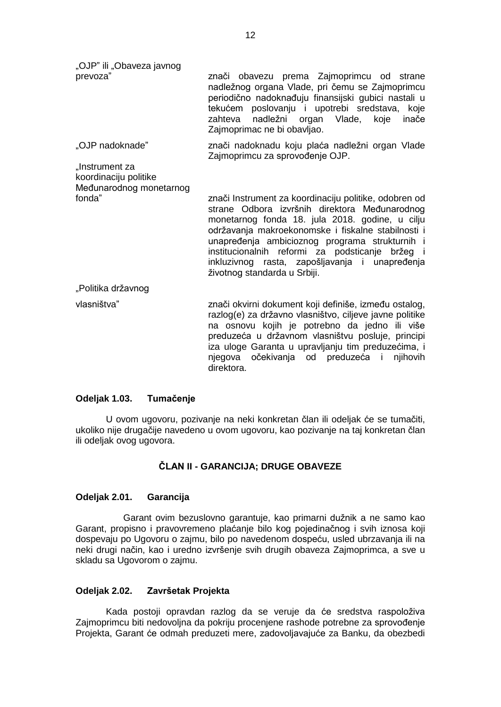"OJP" ili "Obaveza javnog

prevoza" znači obavezu prema Zajmoprimcu od strane nadležnog organa Vlade, pri čemu se Zajmoprimcu periodično nadoknađuju finansijski gubici nastali u tekućem poslovanju i upotrebi sredstava, koje zahteva nadležni organ Vlade, koje inače Zajmoprimac ne bi obavljao.

"OJP nadoknade" znači nadoknadu koju plaća nadležni organ Vlade Zajmoprimcu za sprovođenje OJP.

"Instrument za koordinaciju politike Međunarodnog monetarnog

fonda" znači Instrument za koordinaciju politike, odobren od strane Odbora izvršnih direktora Međunarodnog monetarnog fonda 18. jula 2018. godine, u cilju održavanja makroekonomske i fiskalne stabilnosti i unapređenja ambicioznog programa strukturnih i institucionalnih reformi za podsticanje bržeg i inkluzivnog rasta, zapošljavanja i unapređenja životnog standarda u Srbiji.

"Politika državnog

vlasništva" znači okvirni dokument koji definiše, između ostalog, razlog(e) za državno vlasništvo, ciljeve javne politike na osnovu kojih je potrebno da jedno ili više preduzeća u državnom vlasništvu posluje, principi iza uloge Garanta u upravljanju tim preduzećima, i njegova očekivanja od preduzeća i njihovih direktora.

### **Odeljak 1.03. Tumačenje**

U ovom ugovoru, pozivanje na neki konkretan član ili odeljak će se tumačiti, ukoliko nije drugačije navedeno u ovom ugovoru, kao pozivanje na taj konkretan član ili odeljak ovog ugovora.

## **ČLAN II - GARANCIJA; DRUGE OBAVEZE**

### **Odeljak 2.01. Garancija**

Garant ovim bezuslovno garantuje, kao primarni dužnik a ne samo kao Garant, propisno i pravovremeno plaćanje bilo kog pojedinačnog i svih iznosa koji dospevaju po Ugovoru o zajmu, bilo po navedenom dospeću, usled ubrzavanja ili na neki drugi način, kao i uredno izvršenje svih drugih obaveza Zajmoprimca, a sve u skladu sa Ugovorom o zajmu.

### **Odeljak 2.02. Završetak Projekta**

Kada postoji opravdan razlog da se veruje da će sredstva raspoloživa Zajmoprimcu biti nedovoljna da pokriju procenjene rashode potrebne za sprovođenje Projekta, Garant će odmah preduzeti mere, zadovoljavajuće za Banku, da obezbedi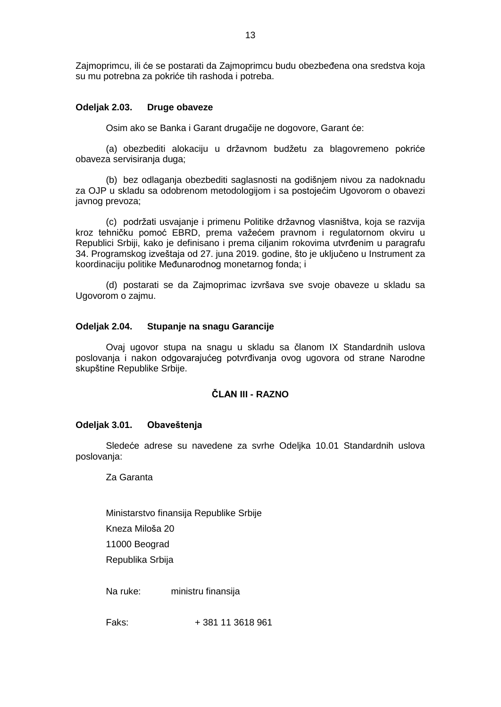Zajmoprimcu, ili će se postarati da Zajmoprimcu budu obezbeđena ona sredstva koja su mu potrebna za pokriće tih rashoda i potreba.

### **Odeljak 2.03. Druge obaveze**

Osim ako se Banka i Garant drugačije ne dogovore, Garant će:

(a) obezbediti alokaciju u državnom budžetu za blagovremeno pokriće obaveza servisiranja duga;

(b) bez odlaganja obezbediti saglasnosti na godišnjem nivou za nadoknadu za OJP u skladu sa odobrenom metodologijom i sa postojećim Ugovorom o obavezi javnog prevoza;

(c) podržati usvajanje i primenu Politike državnog vlasništva, koja se razvija kroz tehničku pomoć EBRD, prema važećem pravnom i regulatornom okviru u Republici Srbiji, kako je definisano i prema ciljanim rokovima utvrđenim u paragrafu 34. Programskog izveštaja od 27. juna 2019. godine, što je uključeno u Instrument za koordinaciju politike Međunarodnog monetarnog fonda; i

(d) postarati se da Zajmoprimac izvršava sve svoje obaveze u skladu sa Ugovorom o zajmu.

### **Odeljak 2.04. Stupanje na snagu Garancije**

Ovaj ugovor stupa na snagu u skladu sa članom IX Standardnih uslova poslovanja i nakon odgovarajućeg potvrđivanja ovog ugovora od strane Narodne skupštine Republike Srbije.

### **ČLAN III - RAZNO**

### **Odeljak 3.01. Obaveštenja**

Sledeće adrese su navedene za svrhe Odeljka 10.01 Standardnih uslova poslovanja:

Za Garanta

Ministarstvo finansija Republike Srbije

Kneza Miloša 20

11000 Beograd

Republika Srbija

Na ruke: ministru finansija

Faks: + 381 11 3618 961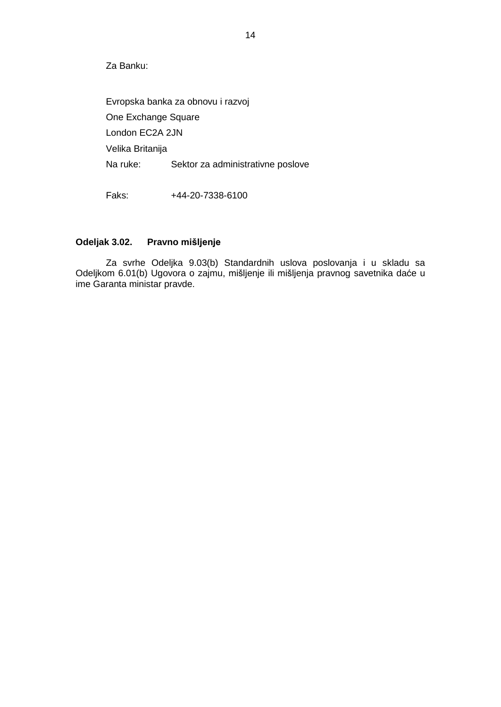Za Banku:

Evropska banka za obnovu i razvoj One Exchange Square London EC2A 2JN Velika Britanija Na ruke: Sektor za administrativne poslove

Faks: +44-20-7338-6100

### **Odeljak 3.02. Pravno mišljenje**

Za svrhe Odeljka 9.03(b) Standardnih uslova poslovanja i u skladu sa Odeljkom 6.01(b) Ugovora o zajmu, mišljenje ili mišljenja pravnog savetnika daće u ime Garanta ministar pravde.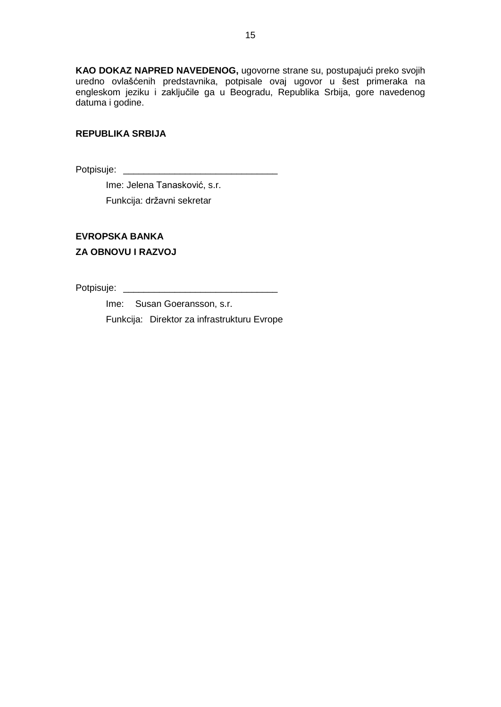**KAO DOKAZ NAPRED NAVEDENOG,** ugovorne strane su, postupajući preko svojih uredno ovlašćenih predstavnika, potpisale ovaj ugovor u šest primeraka na engleskom jeziku i zaključile ga u Beogradu, Republika Srbija, gore navedenog datuma i godine.

### **REPUBLIKA SRBIJA**

Potpisuje: \_\_\_\_\_\_\_\_\_\_\_\_\_\_\_\_\_\_\_\_\_\_\_\_\_\_\_\_\_\_

Ime: Jelena Tanasković, s.r.

Funkcija: državni sekretar

# **EVROPSKA BANKA ZA OBNOVU I RAZVOJ**

Potpisuje: \_\_\_\_\_\_\_\_\_\_\_\_\_\_\_\_\_\_\_\_\_\_\_\_\_\_\_\_\_\_

Ime: Susan Goeransson, s.r.

Funkcija: Direktor za infrastrukturu Evrope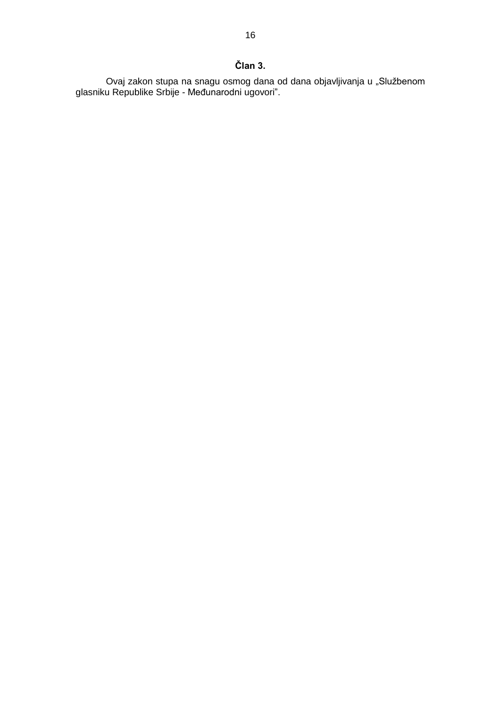# **Član 3.**

Ovaj zakon stupa na snagu osmog dana od dana objavljivanja u "Službenom glasniku Republike Srbije - Međunarodni ugovori".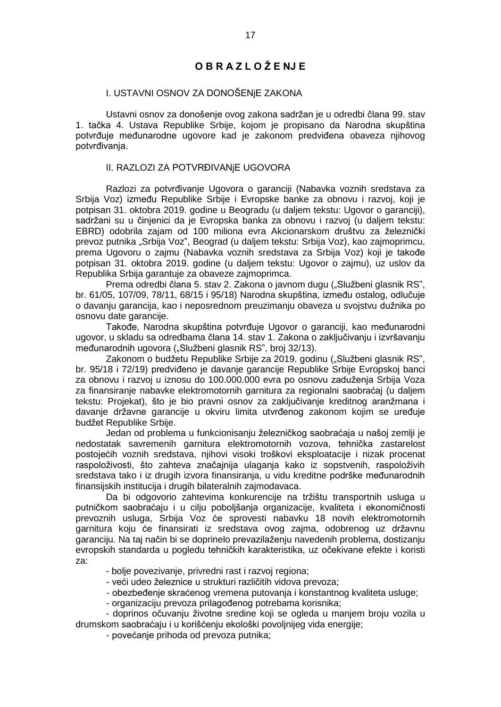# **O B R A Z L O Ž E NJ E**

### I. USTAVNI OSNOV ZA DONOŠENjE ZAKONA

Ustavni osnov za donošenje ovog zakona sadržan je u odredbi člana 99. stav 1. tačka 4. Ustava Republike Srbije, kojom je propisano da Narodna skupština potvrđuje međunarodne ugovore kad je zakonom predviđena obaveza njihovog potvrđivanja.

#### II. RAZLOZI ZA POTVRĐIVANjE UGOVORA

Razlozi za potvrđivanje Ugovora o garanciji (Nabavka voznih sredstava za Srbija Voz) između Republike Srbije i Evropske banke za obnovu i razvoj, koji je potpisan 31. oktobra 2019. godine u Beogradu (u daljem tekstu: Ugovor o garanciji), sadržani su u činjenici da je Evropska banka za obnovu i razvoj (u daljem tekstu: EBRD) odobrila zajam od 100 miliona evra Akcionarskom društvu za železnički prevoz putnika "Srbija Voz", Beograd (u daljem tekstu: Srbija Voz), kao zajmoprimcu, prema Ugovoru o zajmu (Nabavka voznih sredstava za Srbija Voz) koji je takođe potpisan 31. oktobra 2019. godine (u daljem tekstu: Ugovor o zajmu), uz uslov da Republika Srbija garantuje za obaveze zajmoprimca.

Prema odredbi člana 5. stav 2. Zakona o javnom dugu ("Službeni glasnik RS", br. 61/05, 107/09, 78/11, 68/15 i 95/18) Narodna skupština, između ostalog, odlučuje o davanju garancija, kao i neposrednom preuzimanju obaveza u svojstvu dužnika po osnovu date garancije.

Takođe, Narodna skupština potvrđuje Ugovor o garanciji, kao međunarodni ugovor, u skladu sa odredbama člana 14. stav 1. Zakona o zaključivanju i izvršavanju međunarodnih ugovora ("Službeni glasnik RS", broj 32/13).

Zakonom o budžetu Republike Srbije za 2019. godinu ("Službeni glasnik RS", br. 95/18 i 72/19) predviđeno je davanje garancije Republike Srbije Evropskoj banci za obnovu i razvoj u iznosu do 100.000.000 evra po osnovu zaduženja Srbija Voza za finansiranje nabavke elektromotornih garnitura za regionalni saobraćaj (u daljem tekstu: Projekat), što je bio pravni osnov za zaključivanje kreditnog aranžmana i davanje državne garancije u okviru limita utvrđenog zakonom kojim se uređuje budžet Republike Srbije.

Jedan od problema u funkcionisanju železničkog saobraćaja u našoj zemlji je nedostatak savremenih garnitura elektromotornih vozova, tehnička zastarelost postojećih voznih sredstava, njihovi visoki troškovi eksploatacije i nizak procenat raspoloživosti, što zahteva značajnija ulaganja kako iz sopstvenih, raspoloživih sredstava tako i iz drugih izvora finansiranja, u vidu kreditne podrške međunarodnih finansijskih institucija i drugih bilateralnih zajmodavaca.

Da bi odgovorio zahtevima konkurencije na tržištu transportnih usluga u putničkom saobraćaju i u cilju poboljšanja organizacije, kvaliteta i ekonomičnosti prevoznih usluga, Srbija Voz će sprovesti nabavku 18 novih elektromotornih garnitura koju će finansirati iz sredstava ovog zajma, odobrenog uz državnu garanciju. Na taj način bi se doprinelo prevazilaženju navedenih problema, dostizanju evropskih standarda u pogledu tehničkih karakteristika, uz očekivane efekte i koristi za:

- bolje povezivanje, privredni rast i razvoj regiona;
- veći udeo železnice u strukturi različitih vidova prevoza;
- obezbeđenje skraćenog vremena putovanja i konstantnog kvaliteta usluge;
- organizaciju prevoza prilagođenog potrebama korisnika;

- doprinos očuvanju životne sredine koji se ogleda u manjem broju vozila u drumskom saobraćaju i u korišćenju ekološki povoljnijeg vida energije;

- povećanje prihoda od prevoza putnika;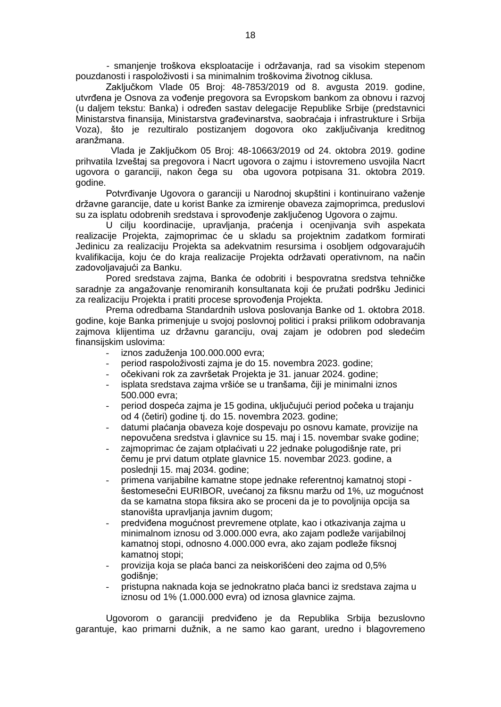- smanjenje troškova eksploatacije i održavanja, rad sa visokim stepenom pouzdanosti i raspoloživosti i sa minimalnim troškovima životnog ciklusa.

Zaključkom Vlade 05 Broj: 48-7853/2019 od 8. avgusta 2019. godine, utvrđena je Osnova za vođenje pregovora sa Evropskom bankom za obnovu i razvoj (u daljem tekstu: Banka) i određen sastav delegacije Republike Srbije (predstavnici Ministarstva finansija, Ministarstva građevinarstva, saobraćaja i infrastrukture i Srbija Voza), što je rezultiralo postizanjem dogovora oko zaključivanja kreditnog aranžmana.

Vlada je Zaključkom 05 Broj: 48-10663/2019 od 24. oktobra 2019. godine prihvatila Izveštaj sa pregovora i Nacrt ugovora o zajmu i istovremeno usvojila Nacrt ugovora o garanciji, nakon čega su oba ugovora potpisana 31. oktobra 2019. godine.

Potvrđivanje Ugovora o garanciji u Narodnoj skupštini i kontinuirano važenje državne garancije, date u korist Banke za izmirenje obaveza zajmoprimca, preduslovi su za isplatu odobrenih sredstava i sprovođenje zaključenog Ugovora o zajmu.

U cilju koordinacije, upravljanja, praćenja i ocenjivanja svih aspekata realizacije Projekta, zajmoprimac će u skladu sa projektnim zadatkom formirati Jedinicu za realizaciju Projekta sa adekvatnim resursima i osobljem odgovarajućih kvalifikacija, koju će do kraja realizacije Projekta održavati operativnom, na način zadovoljavajući za Banku.

Pored sredstava zajma, Banka će odobriti i bespovratna sredstva tehničke saradnje za angažovanje renomiranih konsultanata koji će pružati podršku Jedinici za realizaciju Projekta i pratiti procese sprovođenja Projekta.

Prema odredbama Standardnih uslova poslovanja Banke od 1. oktobra 2018. godine, koje Banka primenjuje u svojoj poslovnoj politici i praksi prilikom odobravanja zajmova klijentima uz državnu garanciju, ovaj zajam je odobren pod sledećim finansijskim uslovima:

- iznos zaduženja 100.000.000 evra;
- period raspoloživosti zajma je do 15. novembra 2023. godine;
- očekivani rok za završetak Projekta je 31. januar 2024. godine;
- isplata sredstava zajma vršiće se u tranšama, čiji je minimalni iznos 500.000 evra;
- period dospeća zajma je 15 godina, uključujući period počeka u trajanju od 4 (četiri) godine tj. do 15. novembra 2023. godine;
- datumi plaćanja obaveza koje dospevaju po osnovu kamate, provizije na nepovučena sredstva i glavnice su 15. maj i 15. novembar svake godine;
- zajmoprimac će zajam otplaćivati u 22 jednake polugodišnje rate, pri čemu je prvi datum otplate glavnice 15. novembar 2023. godine, a poslednji 15. maj 2034. godine;
- primena varijabilne kamatne stope jednake referentnoj kamatnoj stopi šestomesečni EURIBOR, uvećanoj za fiksnu maržu od 1%, uz mogućnost da se kamatna stopa fiksira ako se proceni da je to povoljnija opcija sa stanovišta upravljanja javnim dugom;
- predviđena mogućnost prevremene otplate, kao i otkazivanja zajma u minimalnom iznosu od 3.000.000 evra, ako zajam podleže varijabilnoj kamatnoj stopi, odnosno 4.000.000 evra, ako zajam podleže fiksnoj kamatnoj stopi;
- provizija koja se plaća banci za neiskorišćeni deo zajma od 0,5% godišnje;
- pristupna naknada koja se jednokratno plaća banci iz sredstava zajma u iznosu od 1% (1.000.000 evra) od iznosa glavnice zajma.

Ugovorom o garanciji predviđeno je da Republika Srbija bezuslovno garantuje, kao primarni dužnik, a ne samo kao garant, uredno i blagovremeno